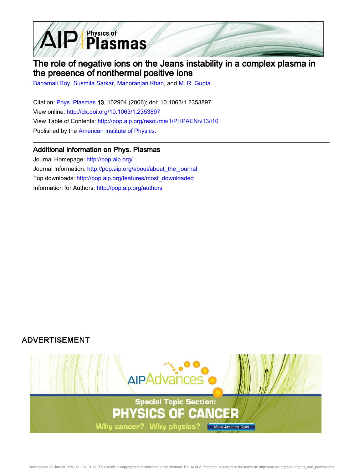

# The role of negative ions on the Jeans instability in a complex plasma in the presence of nonthermal positive ions

Banamali Roy, Susmita Sarkar, Manoranjan Khan, and M. R. Gupta

Citation: Phys. Plasmas 13, 102904 (2006); doi: 10.1063/1.2353897 View online: http://dx.doi.org/10.1063/1.2353897 View Table of Contents: http://pop.aip.org/resource/1/PHPAEN/v13/i10 Published by the American Institute of Physics.

# Additional information on Phys. Plasmas

Journal Homepage: http://pop.aip.org/ Journal Information: http://pop.aip.org/about/about\_the\_journal Top downloads: http://pop.aip.org/features/most\_downloaded Information for Authors: http://pop.aip.org/authors

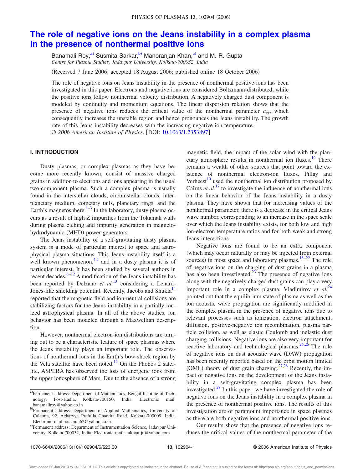# **The role of negative ions on the Jeans instability in a complex plasma in the presence of nonthermal positive ions**

Banamali Roy,<sup>a)</sup> Susmita Sarkar,<sup>b)</sup> Manoranjan Khan,<sup>c)</sup> and M. R. Gupta *Centre for Plasma Studies, Jadavpur University, Kolkata-700032, India*

Received 7 June 2006; accepted 18 August 2006; published online 18 October 2006-

The role of negative ions on Jeans instability in the presence of nonthermal positive ions has been investigated in this paper. Electrons and negative ions are considered Boltzmann-distributed, while the positive ions follow nonthermal velocity distribution. A negatively charged dust component is modeled by continuity and momentum equations. The linear dispersion relation shows that the presence of negative ions reduces the critical value of the nonthermal parameter *acr*, which consequently increases the unstable region and hence pronounces the Jeans instability. The growth rate of this Jeans instability decreases with the increasing negative ion temperature.

© *2006 American Institute of Physics*. DOI: 10.1063/1.2353897

### **I. INTRODUCTION**

Dusty plasmas, or complex plasmas as they have become more recently known, consist of massive charged grains in addition to electrons and ions appearing in the usual two-component plasma. Such a complex plasma is usually found in the interstellar clouds, circumstellar clouds, interplanetary medium, cometary tails, planetary rings, and the Earth's magnetosphere.<sup>1–3</sup> In the laboratory, dusty plasma occurs as a result of high Z impurities from the Tokamak walls during plasma etching and impurity generation in magnetohydrodynamic (MHD) power generators.

The Jeans instability of a self-gravitating dusty plasma system is a mode of particular interest to space and astrophysical plasma situations. This Jeans instability itself is a well known phenomenon,<sup>4,5</sup> and in a dusty plasma it is of particular interest. It has been studied by several authors in recent decades. $6-12$  A modification of the Jeans instability has been reported by Delzano *et al.*<sup>13</sup> considering a Lenard-Jones-like shielding potential. Recently, Jacobs and Shukla<sup>14</sup> reported that the magnetic field and ion-neutral collisions are stabilizing factors for the Jeans instability in a partially ionized astrophysical plasma. In all of the above studies, ion behavior has been modeled through a Maxwellian description.

However, nonthermal electron-ion distributions are turning out to be a characteristic feature of space plasmas where the Jeans instability plays an important role. The observations of nonthermal ions in the Earth's bow-shock region by the Vela satellite have been noted.<sup>15</sup> On the Phobos 2 satellite, ASPERA has observed the loss of energetic ions from the upper ionosphere of Mars. Due to the absence of a strong magnetic field, the impact of the solar wind with the planetary atmosphere results in nonthermal ion fluxes.<sup>16</sup> There remains a wealth of other sources that point toward the existence of nonthermal electron-ion fluxes. Pillay and Verheest $10$  used the nonthermal ion distribution proposed by Cairns  $et$   $al$ <sup>17</sup> to investigate the influence of nonthermal ions on the linear behavior of the Jeans instability in a dusty plasma. They have shown that for increasing values of the nonthermal parameter, there is a decrease in the critical Jeans wave number, corresponding to an increase in the space scale over which the Jeans instability exists, for both low and high ion-electron temperature ratios and for both weak and strong Jeans interactions.

Negative ions are found to be an extra component which may occur naturally or may be injected from external sources) in most space and laboratory plasmas.<sup>18–22</sup> The role of negative ions on the charging of dust grains in a plasma has also been investigated. $^{23}$  The presence of negative ions along with the negatively charged dust grains can play a very important role in a complex plasma. Vladimirov *et al.*<sup>24</sup> pointed out that the equilibrium state of plasma as well as the ion acoustic wave propagation are significantly modified in the complex plasma in the presence of negative ions due to relevant processes such as ionization, electron attachment, diffusion, positive-negative ion recombination, plasma particle collision, as well as elastic Coulomb and inelastic dust charging collisions. Negative ions are also very important for reactive laboratory and technological plasmas.<sup>25,26</sup> The role of negative ions on dust acoustic wave (DAW) propagation has been recently reported based on the orbit motion limited (OML) theory of dust grain charging.<sup>27,28</sup> Recently, the impact of negative ions on the development of the Jeans instability in a self-gravitating complex plasma has been investigated. $29$  In this paper, we have investigated the role of negative ions on the Jeans instability in a complex plasma in the presence of nonthermal positive ions. The results of this investigation are of paramount importance in space plasmas as there are both negative ions and nonthermal positive ions.

Our results show that the presence of negative ions reduces the critical values of the nonthermal parameter of the

a)Permanent address: Department of Mathematics, Bengal Institute of Technology, Post-Hadia, Kolkata-700150, India. Electronic mail: banamaliroy@yahoo.co.in

b)Permanent address: Department of Applied Mathematics, University of Calcutta, 92, Acharyya Prafulla Chandra Road, Kolkata-700009, India. Electronic mail: susmita62@yahoo.co.in

c)Permanent address: Department of Instrumentation Science, Jadavpur University, Kolkata-700032, India. Electronic mail: mkhan ju@yahoo.com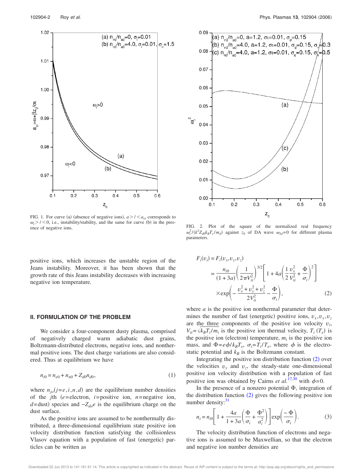

FIG. 1. For curve (a) (absence of negative ions),  $a > l < a_{cr}$  corresponds to  $\omega_i$  > / < 0, i.e., instability/stability, and the same for curve (b) in the pres- $FIG.$  2. Plot of the square of the normalized real frequency ence of negative ions.

positive ions, which increases the unstable region of the Jeans instability. Moreover, it has been shown that the growth rate of this Jeans instability decreases with increasing negative ion temperature.

#### **II. FORMULATION OF THE PROBLEM**

We consider a four-component dusty plasma, comprised of negatively charged warm adiabatic dust grains, Boltzmann-distributed electrons, negative ions, and nonthermal positive ions. The dust charge variations are also considered. Thus at equilibrium we have

$$
n_{i0} = n_{e0} + n_{n0} + Z_{d0}n_{d0},\tag{1}
$$

where  $n_{j0}(j=e,i,n,d)$  are the equilibrium number densities of the *j*th  $(e =$ electron,  $i =$  positive ion,  $n =$  negative ion, *d*=dust) species and  $-Z_{do}e$  is the equilibrium charge on the dust surface.

As the positive ions are assumed to be nonthermally distributed, a three-dimensional equilibrium state positive ion velocity distribution function satisfying the collisionless Vlasov equation with a population of fast (energetic) particles can be written as



 $\omega_r^2/(k^2 Z_{d0} k_B T_e / m_d)$  against *z*<sub>0</sub> of DA wave  $\omega_{Jd} = 0$  for different plasma parameters.

$$
F_i(v_i) = F_i(v_x, v_y, v_z)
$$
  
= 
$$
\frac{n_{i0}}{(1 + 3a)} \left(\frac{1}{2\pi V_{ii}^2}\right)^{3/2} \left[1 + 4a \left(\frac{1}{2}\frac{v_x^2}{V_{ii}^2} + \frac{\Phi}{\sigma_i}\right)^2\right]
$$
  

$$
\times \exp\left(-\frac{v_x^2 + v_y^2 + v_z^2}{2V_{ii}^2} - \frac{\Phi}{\sigma_i}\right),
$$
 (2)

where *a* is the positive ion nonthermal parameter that determines the number of fast (energetic) positive ions,  $v_x, v_y, v_z$ are the three components of the positive ion velocity  $v_i$ ,  $V_{ti} = \sqrt{k_B T_i / m_i}$  is the positive ion thermal velocity,  $T_i$  ( $T_e$ ) is the positive ion (electron) temperature,  $m_i$  is the positive ion mass, and  $\Phi = e\phi/k_B T_e$ ,  $\sigma_i = T_i/T_e$ , where  $\phi$  is the electrostatic potential and  $k_B$  is the Boltzmann constant.

Integrating the positive ion distribution function  $(2)$  over the velocities  $v_y$  and  $v_z$ , the steady-state one-dimensional positive ion velocity distribution with a population of fast positive ion was obtained by Cairns *et al.*<sup>17,30</sup> with  $\phi$ =0.

In the presence of a nonzero potential  $\Phi$ , integration of the distribution function  $(2)$  gives the following positive ion number density: $31$ 

$$
n_i = n_{i0} \left[ 1 + \frac{4a}{1 + 3a} \left( \frac{\Phi}{\sigma_i} + \frac{\Phi^2}{a_i^2} \right) \right] \exp\left( \frac{-\Phi}{\sigma_i} \right). \tag{3}
$$

The velocity distribution function of electrons and negative ions is assumed to be Maxwellian, so that the electron and negative ion number densities are

Downloaded 22 Jun 2013 to 141.161.91.14. This article is copyrighted as indicated in the abstract. Reuse of AIP content is subject to the terms at: http://pop.aip.org/about/rights\_and\_permissions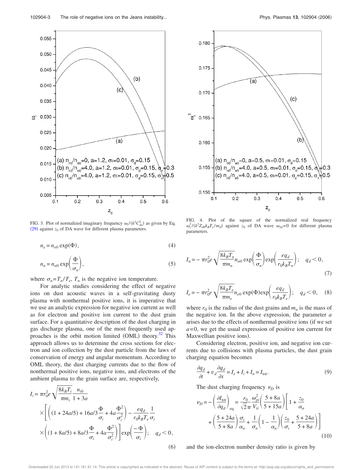

FIG. 3. Plot of normalized imaginary frequency  $\omega_i / (k^2 C_{da}^2)$  as given by Eq.  $(29)$  against  $z_0$  of DA wave for different plasma parameters.

$$
n_e = n_{e0} \exp(\Phi),\tag{4}
$$

$$
n_n = n_{n0} \exp\left(\frac{\Phi}{\sigma_n}\right),\tag{5}
$$

where  $\sigma_n = T_n / T_e$ ,  $T_n$  is the negative ion temperature.

For analytic studies considering the effect of negative ions on dust acoustic waves in a self-gravitating dusty plasma with nonthermal positive ions, it is imperative that we use an analytic expression for negative ion current as well as for electron and positive ion current to the dust grain surface. For a quantitative description of the dust charging in gas discharge plasma, one of the most frequently used approaches is the orbit motion limited (OML) theory.<sup>32</sup> This approach allows us to determine the cross sections for electron and ion collection by the dust particle from the laws of conservation of energy and angular momentum. According to OML theory, the dust charging currents due to the flow of nonthermal positive ions, negative ions, and electrons of the ambient plasma to the grain surface are, respectively,

$$
I_{i} = \pi r_{0}^{2} e \sqrt{\frac{8k_{B}T_{i}}{\pi m_{i}}}\frac{n_{i0}}{1+3a}
$$
  
 
$$
\times \left[ \left( (1+24a/5) + 16a/3 \frac{\Phi}{\sigma_{i}} + 4a \frac{\Phi^{2}}{\sigma_{i}^{2}} \right) - \frac{eq_{d}}{r_{0}k_{B}T_{e}} \frac{1}{\sigma_{i}} \right]
$$
  
 
$$
\times \left( (1+8a/5) + 8a/3 \frac{\Phi}{\sigma_{i}} + 4a \frac{\Phi^{2}}{\sigma_{i}^{2}} \right) \left] \exp\left( -\frac{\Phi}{\sigma_{i}} \right); \quad q_{d} < 0,
$$
  
(6)



FIG. 4. Plot of the square of the normalized real frequency  $\omega_r^2/(k^2 Z_{d0} k_B T_e / m_d)$  against *z*<sub>0</sub> of DA wave  $\omega_{Jd} = 0$  for different plasma parameters.

$$
I_n = -\pi r_0^2 e \sqrt{\frac{8k_B T_n}{\pi m_n}} n_{n0} \exp\left(\frac{\Phi}{\sigma_n}\right) \exp\left(\frac{eq_d}{r_0 k_B T_n}\right); \quad q_d < 0,
$$
\n(7)

$$
I_e = -\pi r_0^2 e \sqrt{\frac{8k_B T_e}{\pi m_e}} n_{e0} \exp(\Phi) \exp\left(\frac{eq_d}{r_0 k_B T_e}\right); \quad q_d < 0, \quad (8)
$$

where  $r_0$  is the radius of the dust grains and  $m_n$  is the mass of the negative ion. In the above expression, the parameter *a* arises due to the effects of nonthermal positive ions (if we set  $a = 0$ , we get the usual expression of positive ion current for Maxwellian positive ions).

Considering electron, positive ion, and negative ion currents due to collisions with plasma particles, the dust grain charging equation becomes

$$
\frac{\partial q_d}{\partial t} + v_d \frac{\partial q_d}{\partial x} = I_e + I_i + I_n = I_{\text{tot}}.\tag{9}
$$

The dust charging frequency  $\nu_D$  is

$$
\nu_D = -\left(\frac{\partial I_{\text{tot}}}{\partial q_d}\right)_{\text{eq}} = \frac{r_0}{\sqrt{2}\pi} \frac{\omega_{pi}^2}{V_{ti}} \left(\frac{5+8a}{5+15a}\right) \left[1+\frac{z_0}{\alpha_n}\right] + \left(\frac{5+24a}{5+8a}\right) \frac{\sigma_i}{\alpha_n} + \frac{1}{\sigma_n} \left(1-\frac{1}{\alpha_n}\right) \left(\frac{z_0}{\sigma_i} + \frac{5+24a}{5+8a}\right) \right]
$$
\n(10)

and the ion-electron number density ratio is given by

Downloaded 22 Jun 2013 to 141.161.91.14. This article is copyrighted as indicated in the abstract. Reuse of AIP content is subject to the terms at: http://pop.aip.org/about/rights\_and\_permissions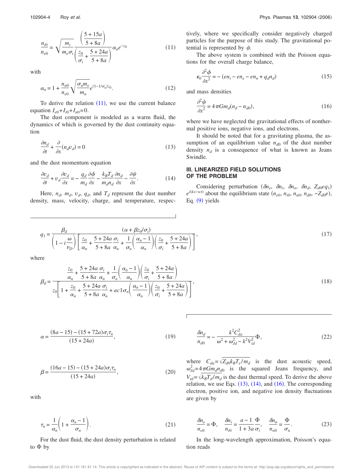$$
\frac{n_{i0}}{n_{e0}} = \sqrt{\frac{m_i}{m_e \sigma_i} \left(\frac{\frac{5 + 15a}{5 + 8a}}{\frac{z_0}{\sigma_i} + \frac{5 + 24a}{5 + 8a}}\right)} \alpha_n e^{-z_0}
$$
(11)

with

$$
\alpha_n = 1 + \frac{n_{n0}}{n_{e0}} \sqrt{\frac{\sigma_n m_e}{m_n}} e^{(1 - 1/\sigma_n) z_0}.
$$
 (12)

To derive the relation  $(11)$ , we use the current balance equation  $I_{e0} + I_{i0} + I_{n0} = 0$ .

The dust component is modeled as a warm fluid, the dynamics of which is governed by the dust continuity equation

$$
\frac{\partial n_d}{\partial t} + \frac{\partial}{\partial x}(n_d v_d) = 0\tag{13}
$$

and the dust momentum equation

$$
\frac{\partial v_d}{\partial t} + v_d \frac{\partial v_d}{\partial x} = -\frac{q_d}{m_d} \frac{\partial \phi}{\partial x} - \frac{k_B T_d}{m_d n_d} \frac{\partial n_d}{\partial x} - \frac{\partial \psi}{\partial x}.
$$
(14)

Here,  $n_d$ ,  $m_d$ ,  $v_d$ ,  $q_d$ , and  $T_d$  represent the dust number density, mass, velocity, charge, and temperature, respectively, where we specifically consider negatively charged particles for the purpose of this study. The gravitational potential is represented by  $\psi$ .

The above system is combined with the Poisson equations for the overall charge balance,

$$
\epsilon_0 \frac{\partial^2 \phi}{\partial x^2} = -\left(en_i - en_e - en_n + q_d n_d\right) \tag{15}
$$

and mass densities

$$
\frac{\partial^2 \psi}{\partial x^2} = 4\pi G m_d (n_d - n_{d0}),\tag{16}
$$

where we have neglected the gravitational effects of nonthermal positive ions, negative ions, and electrons.

It should be noted that for a gravitating plasma, the assumption of an equilibrium value  $n_{d0}$  of the dust number density  $n_d$  is a consequence of what is known as Jeans Swindle.

# **III. LINEARIZED FIELD SOLUTIONS OF THE PROBLEM**

Considering perturbation  $(\delta n_e, \delta n_i, \delta n_n, \delta n_d, Z_{d0} e q_1)$  $e^{i(kx-wt)}$  about the equilibrium state  $(n_{e0}, n_{i0}, n_{n0}, n_{d0}, -Z_{d0}e)$ , Eq. (9) yields

$$
q_1 = \frac{\beta_d}{\left(1 - i\frac{\omega}{v_D}\right)} \left[\frac{z_0}{\alpha_n} + \frac{5 + 24a}{5 + 8a} \frac{\sigma_i}{\alpha_n} + \frac{1}{\sigma_n} \left(\frac{\alpha_n - 1}{\alpha_n}\right) \left(\frac{z_0}{\sigma_i} + \frac{5 + 24a}{5 + 8a}\right)\right],\tag{17}
$$

where

$$
\beta_d = \frac{\frac{z_0}{\alpha_n} + \frac{5 + 24a}{5 + 8a} \frac{\sigma_i}{\alpha_n} + \frac{1}{\sigma_n} \left( \frac{\alpha_n - 1}{\alpha_n} \right) \left( \frac{z_0}{\sigma_i} + \frac{5 + 24a}{5 + 8a} \right)}{z_0 \left[ 1 + \frac{z_0}{\alpha_n} + \frac{5 + 24a}{5 + 8a} \frac{\sigma_i}{\alpha_n} + ac \right] \left( \frac{\alpha_n - 1}{\alpha_n} \right) \left( \frac{z_0}{\sigma_i} + \frac{5 + 24a}{5 + 8a} \right)} \tag{18}
$$

$$
\alpha = \frac{(8a - 15) - (15 + 72a)\sigma_i \tau_n}{(15 + 24a)},
$$
\n(19)

$$
\beta = \frac{(16a - 15) - (15 + 24a)\sigma_i \tau_n}{(15 + 24a)},
$$
\n(20)

with

$$
\tau_n = \frac{1}{\alpha_n} \left( 1 + \frac{\alpha_n - 1}{\sigma_n} \right). \tag{21}
$$

For the dust fluid, the dust density perturbation is related to  $\Phi$  by

$$
\frac{\delta n_d}{n_{d0}} = -\frac{k^2 C_{da}^2}{\omega^2 + \omega_{Jd}^2 - k^2 V_{td}^2} \Phi,
$$
\n(22)

where  $C_{da} = \sqrt{Z_{d0}k_B T_e/m_d}$  is the dust acoustic speed,  $\omega_{Jd}^2 = 4 \pi G m_d n_{d0}$  is the squared Jeans frequency, and  $V_{td} = \sqrt{k_B T_d / m_d}$  is the dust thermal speed. To derive the above relation, we use Eqs.  $(13)$ ,  $(14)$ , and  $(16)$ . The corresponding electron, positive ion, and negative ion density fluctuations are given by

$$
\frac{\delta n_e}{n_{e0}} = \Phi, \quad \frac{\delta n_i}{n_{i0}} = \frac{a - 1}{1 + 3a} \frac{\Phi}{\sigma_i}, \quad \frac{\delta n_n}{n_{n0}} = \frac{\Phi}{\sigma_n}.
$$
 (23)

In the long-wavelength approximation, Poisson's equation reads

Downloaded 22 Jun 2013 to 141.161.91.14. This article is copyrighted as indicated in the abstract. Reuse of AIP content is subject to the terms at: http://pop.aip.org/about/rights\_and\_permissions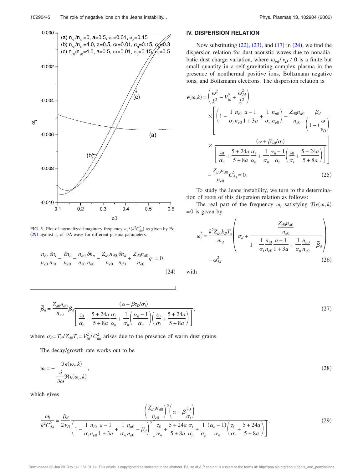

FIG. 5. Plot of normalized imaginary frequency  $\omega_i / (k^2 C_{da}^2)$  as given by Eq.  $(29)$  against  $z_0$  of DA wave for different plasma parameters.

$$
\frac{n_{i0}}{n_{e0}} \frac{\delta n_i}{n_{i0}} - \frac{\delta n_e}{n_{e0}} - \frac{n_{n0}}{n_{e0}} \frac{\delta n_n}{n_{n0}} - \frac{Z_{d0} n_{d0}}{n_{e0}} \frac{\delta n_d}{n_{d0}} + \frac{Z_{d0} n_{d0}}{n_{e0}} q_1 = 0.
$$
\n(24)

#### **IV. DISPERSION RELATION**

Now substituting  $(22)$ ,  $(23)$ , and  $(17)$  in  $(24)$ , we find the dispersion relation for dust acoustic waves due to nonadiabatic dust charge variation, where  $\omega_{pd}/\nu_{D} \neq 0$  is a finite but small quantity in a self-gravitating complex plasma in the presence of nonthermal positive ions, Boltzmann negative ions, and Boltzmann electrons. The dispersion relation is

$$
\epsilon(\omega, k) = \left(\frac{\omega^2}{k^2} - V_{td}^2 + \frac{\omega_{jd}^2}{k^2}\right)
$$
  
\n
$$
\times \left[ \left(1 - \frac{1}{\sigma_i} \frac{n_{i0}}{n_{e0}} \frac{a - 1}{1 + 3a} + \frac{1}{\sigma_n} \frac{n_{n0}}{n_{e0}}\right) - \frac{Z_{d0}n_{d0}}{n_{e0}} \frac{\beta_d}{\left(1 - i\frac{\omega}{\nu_D}\right)} \right]
$$
  
\n
$$
\times \frac{\left(\alpha + \beta z_0/\sigma_i\right)}{\left[\frac{z_0}{\alpha_n} + \frac{5 + 24a}{5 + 8a} \frac{\sigma_i}{\alpha_n} + \frac{1}{\sigma_n} \frac{\alpha_n - 1}{\alpha_n} \left(\frac{z_0}{\sigma_i} + \frac{5 + 24a}{5 + 8a}\right)\right]}
$$
  
\n
$$
- \frac{Z_{d0}n_{d0}}{n_{e0}} C_{da}^2 = 0.
$$
 (25)

To study the Jeans instability, we turn to the determination of roots of this dispersion relation as follows:

The real part of the frequency  $\omega_r$  satisfying  $\Re \epsilon(\omega, k)$  $= 0$  is given by

$$
\omega_r^2 = \frac{k^2 Z_{d0} k_B T_e}{m_d} \left( \sigma_d + \frac{\frac{Z_{d0} n_{d0}}{n_{e0}}}{1 - \frac{1}{\sigma_i} \frac{n_{i0}}{n_{e0}} \frac{a - 1}{1 + 3a} + \frac{1}{\sigma_n} \frac{n_{n0}}{n_{e0}} - \bar{\beta}_d \right)
$$

$$
- \omega_{Jd}^2
$$
(26)

with

$$
\overline{\beta}_d = \frac{Z_{d0}n_{d0}}{n_{e0}} \beta_d \frac{(\alpha + \beta z_0/\sigma_i)}{\left[\frac{z_0}{\alpha_n} + \frac{5 + 24a}{5 + 8a} \frac{\sigma_i}{\alpha_n} + \frac{1}{\sigma_n} \left(\frac{\alpha_n - 1}{\alpha_n}\right) \left(\frac{z_0}{\sigma_i} + \frac{5 + 24a}{5 + 8a}\right)\right]},
$$
\n(27)

where  $\sigma_d = T_d/Z_{d0}T_e = V_{td}^2/C_{da}^2$  arises due to the presence of warm dust grains.

The decay/growth rate works out to be

$$
\omega_i = -\frac{\Im \epsilon(\omega_r, k)}{\frac{\partial}{\partial \omega} \Re \epsilon(\omega_r, k)},
$$
\n(28)

which gives

$$
\frac{\omega_{i}}{k^{2}C_{da}^{2}} = \frac{\beta_{d}}{2\nu_{D}} \frac{\left(\frac{Z_{d0}n_{d0}}{n_{e0}}\right)^{2}\left(\alpha + \beta \frac{z_{0}}{\sigma_{i}}\right)}{\left(1 - \frac{1}{\sigma_{i}} \frac{n_{i0}}{n_{e0}} \frac{a - 1}{1 + 3a} + \frac{1}{\sigma_{n}} \frac{n_{n0}}{n_{e0}} - \overline{\beta}_{d}\right)^{2}\left[\frac{z_{0}}{\alpha_{n}} + \frac{5 + 24a}{5 + 8a} \frac{\sigma_{i}}{\alpha_{n}} + \frac{1}{\sigma_{n}} \frac{(\alpha_{n} - 1)}{\alpha_{n}} \left(\frac{z_{0}}{\sigma_{i}} + \frac{5 + 24a}{5 + 8a}\right)\right]}.
$$
\n(29)

Downloaded 22 Jun 2013 to 141.161.91.14. This article is copyrighted as indicated in the abstract. Reuse of AIP content is subject to the terms at: http://pop.aip.org/about/rights\_and\_permissions